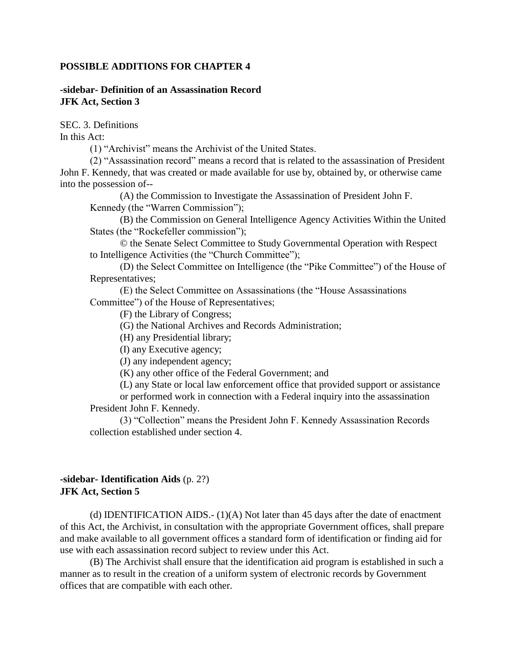#### **POSSIBLE ADDITIONS FOR CHAPTER 4**

## **-sidebar- Definition of an Assassination Record JFK Act, Section 3**

SEC. 3. Definitions

In this Act:

(1) "Archivist" means the Archivist of the United States.

(2) "Assassination record" means a record that is related to the assassination of President John F. Kennedy, that was created or made available for use by, obtained by, or otherwise came into the possession of--

(A) the Commission to Investigate the Assassination of President John F. Kennedy (the "Warren Commission");

(B) the Commission on General Intelligence Agency Activities Within the United States (the "Rockefeller commission");

© the Senate Select Committee to Study Governmental Operation with Respect to Intelligence Activities (the "Church Committee");

(D) the Select Committee on Intelligence (the "Pike Committee") of the House of Representatives;

(E) the Select Committee on Assassinations (the "House Assassinations Committee") of the House of Representatives;

(F) the Library of Congress;

(G) the National Archives and Records Administration;

(H) any Presidential library;

(I) any Executive agency;

(J) any independent agency;

(K) any other office of the Federal Government; and

(L) any State or local law enforcement office that provided support or assistance

or performed work in connection with a Federal inquiry into the assassination President John F. Kennedy.

(3) "Collection" means the President John F. Kennedy Assassination Records collection established under section 4.

# **-sidebar- Identification Aids** (p. 2?) **JFK Act, Section 5**

(d) IDENTIFICATION AIDS.- (1)(A) Not later than 45 days after the date of enactment of this Act, the Archivist, in consultation with the appropriate Government offices, shall prepare and make available to all government offices a standard form of identification or finding aid for use with each assassination record subject to review under this Act.

(B) The Archivist shall ensure that the identification aid program is established in such a manner as to result in the creation of a uniform system of electronic records by Government offices that are compatible with each other.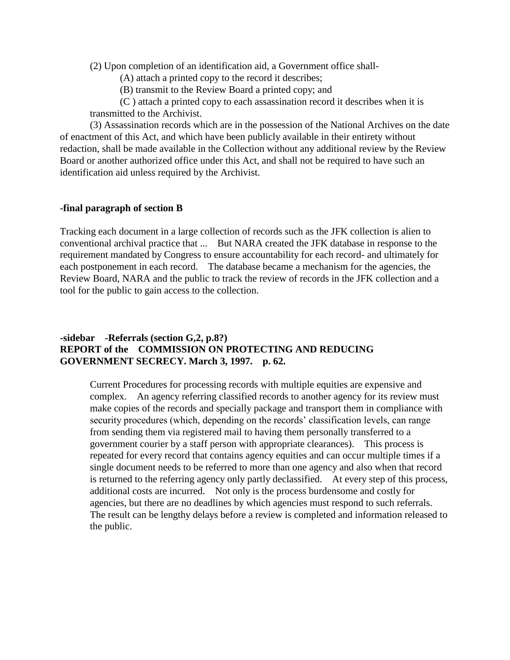(2) Upon completion of an identification aid, a Government office shall-

(A) attach a printed copy to the record it describes;

(B) transmit to the Review Board a printed copy; and

(C ) attach a printed copy to each assassination record it describes when it is transmitted to the Archivist.

(3) Assassination records which are in the possession of the National Archives on the date of enactment of this Act, and which have been publicly available in their entirety without redaction, shall be made available in the Collection without any additional review by the Review Board or another authorized office under this Act, and shall not be required to have such an identification aid unless required by the Archivist.

# **-final paragraph of section B**

Tracking each document in a large collection of records such as the JFK collection is alien to conventional archival practice that ... But NARA created the JFK database in response to the requirement mandated by Congress to ensure accountability for each record- and ultimately for each postponement in each record. The database became a mechanism for the agencies, the Review Board, NARA and the public to track the review of records in the JFK collection and a tool for the public to gain access to the collection.

# **-sidebar -Referrals (section G,2, p.8?) REPORT of the COMMISSION ON PROTECTING AND REDUCING GOVERNMENT SECRECY. March 3, 1997. p. 62.**

Current Procedures for processing records with multiple equities are expensive and complex. An agency referring classified records to another agency for its review must make copies of the records and specially package and transport them in compliance with security procedures (which, depending on the records' classification levels, can range from sending them via registered mail to having them personally transferred to a government courier by a staff person with appropriate clearances). This process is repeated for every record that contains agency equities and can occur multiple times if a single document needs to be referred to more than one agency and also when that record is returned to the referring agency only partly declassified. At every step of this process, additional costs are incurred. Not only is the process burdensome and costly for agencies, but there are no deadlines by which agencies must respond to such referrals. The result can be lengthy delays before a review is completed and information released to the public.